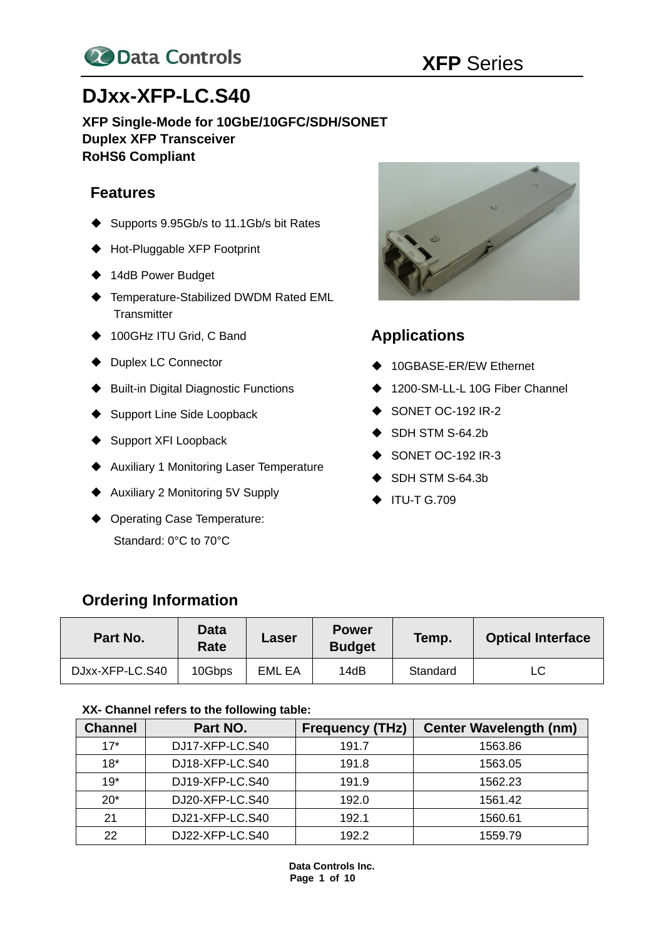

# **DJxx-XFP-LC.S40**

**XFP Single-Mode for 10GbE/10GFC/SDH/SONET Duplex XFP Transceiver RoHS6 Compliant**

### **Features**

- ◆ Supports 9.95Gb/s to 11.1Gb/s bit Rates
- ◆ Hot-Pluggable XFP Footprint
- ◆ 14dB Power Budget
- ◆ Temperature-Stabilized DWDM Rated EML **Transmitter**
- ◆ 100GHz ITU Grid, C Band
- ◆ Duplex LC Connector
- ◆ Built-in Digital Diagnostic Functions
- ◆ Support Line Side Loopback
- ◆ Support XFI Loopback
- ◆ Auxiliary 1 Monitoring Laser Temperature
- ◆ Auxiliary 2 Monitoring 5V Supply
- ◆ Operating Case Temperature: Standard: 0°C to 70°C



### **Applications**

- ◆ 10GBASE-ER/EW Ethernet
- ◆ 1200-SM-LL-L 10G Fiber Channel
- ◆ SONET OC-192 IR-2
- ◆ SDH STM S-64.2b
- ◆ SONET OC-192 IR-3
- ◆ SDH STM S-64.3b
- ◆ ITU-T G.709

### **Ordering Information**

| Part No.        | Data<br>Rate | Laser  | <b>Power</b><br><b>Budget</b> | Temp.    | <b>Optical Interface</b> |
|-----------------|--------------|--------|-------------------------------|----------|--------------------------|
| DJxx-XFP-LC.S40 | 10Gbps       | EML EA | 14dB                          | Standard | LC                       |

### **XX- Channel refers to the following table:**

| <b>Channel</b> | Part NO.        | <b>Frequency (THz)</b> | <b>Center Wavelength (nm)</b> |
|----------------|-----------------|------------------------|-------------------------------|
| $17*$          | DJ17-XFP-LC.S40 | 191.7                  | 1563.86                       |
| $18*$          | DJ18-XFP-LC.S40 | 191.8                  | 1563.05                       |
| $19*$          | DJ19-XFP-LC.S40 | 191.9                  | 1562.23                       |
| $20*$          | DJ20-XFP-LC.S40 | 192.0                  | 1561.42                       |
| 21             | DJ21-XFP-LC.S40 | 192.1                  | 1560.61                       |
| 22             | DJ22-XFP-LC.S40 | 192.2                  | 1559.79                       |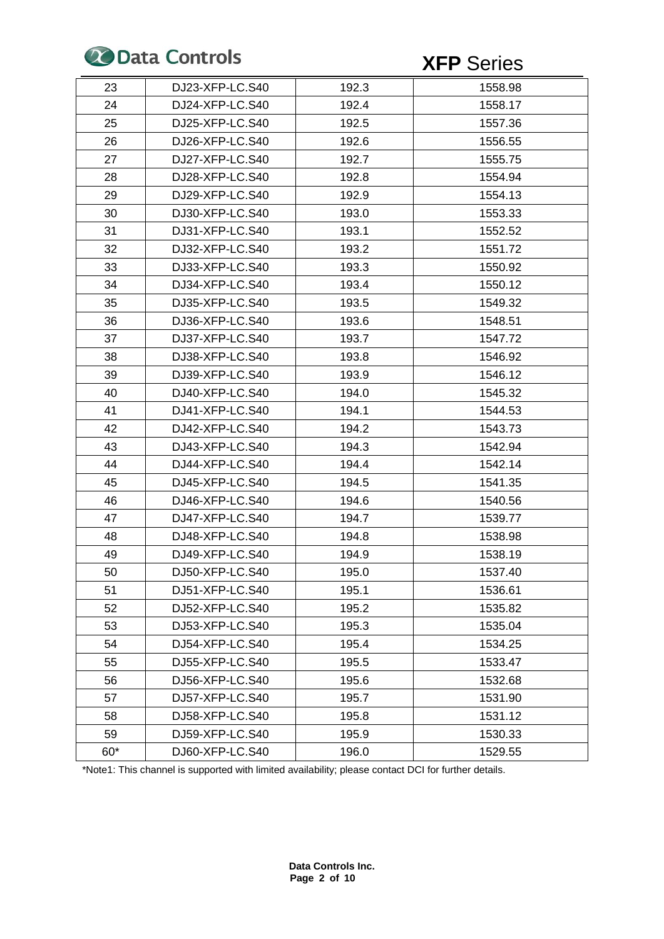

| 23    | DJ23-XFP-LC.S40 | 192.3 | 1558.98 |
|-------|-----------------|-------|---------|
| 24    | DJ24-XFP-LC.S40 | 192.4 | 1558.17 |
| 25    | DJ25-XFP-LC.S40 | 192.5 | 1557.36 |
| 26    | DJ26-XFP-LC.S40 | 192.6 | 1556.55 |
| 27    | DJ27-XFP-LC.S40 | 192.7 | 1555.75 |
| 28    | DJ28-XFP-LC.S40 | 192.8 | 1554.94 |
| 29    | DJ29-XFP-LC.S40 | 192.9 | 1554.13 |
| 30    | DJ30-XFP-LC.S40 | 193.0 | 1553.33 |
| 31    | DJ31-XFP-LC.S40 | 193.1 | 1552.52 |
| 32    | DJ32-XFP-LC.S40 | 193.2 | 1551.72 |
| 33    | DJ33-XFP-LC.S40 | 193.3 | 1550.92 |
| 34    | DJ34-XFP-LC.S40 | 193.4 | 1550.12 |
| 35    | DJ35-XFP-LC.S40 | 193.5 | 1549.32 |
| 36    | DJ36-XFP-LC.S40 | 193.6 | 1548.51 |
| 37    | DJ37-XFP-LC.S40 | 193.7 | 1547.72 |
| 38    | DJ38-XFP-LC.S40 | 193.8 | 1546.92 |
| 39    | DJ39-XFP-LC.S40 | 193.9 | 1546.12 |
| 40    | DJ40-XFP-LC.S40 | 194.0 | 1545.32 |
| 41    | DJ41-XFP-LC.S40 | 194.1 | 1544.53 |
| 42    | DJ42-XFP-LC.S40 | 194.2 | 1543.73 |
| 43    | DJ43-XFP-LC.S40 | 194.3 | 1542.94 |
| 44    | DJ44-XFP-LC.S40 | 194.4 | 1542.14 |
| 45    | DJ45-XFP-LC.S40 | 194.5 | 1541.35 |
| 46    | DJ46-XFP-LC.S40 | 194.6 | 1540.56 |
| 47    | DJ47-XFP-LC.S40 | 194.7 | 1539.77 |
| 48    | DJ48-XFP-LC.S40 | 194.8 | 1538.98 |
| 49    | DJ49-XFP-LC.S40 | 194.9 | 1538.19 |
| 50    | DJ50-XFP-LC.S40 | 195.0 | 1537.40 |
| 51    | DJ51-XFP-LC.S40 | 195.1 | 1536.61 |
| 52    | DJ52-XFP-LC.S40 | 195.2 | 1535.82 |
| 53    | DJ53-XFP-LC.S40 | 195.3 | 1535.04 |
| 54    | DJ54-XFP-LC.S40 | 195.4 | 1534.25 |
| 55    | DJ55-XFP-LC.S40 | 195.5 | 1533.47 |
| 56    | DJ56-XFP-LC.S40 | 195.6 | 1532.68 |
| 57    | DJ57-XFP-LC.S40 | 195.7 | 1531.90 |
| 58    | DJ58-XFP-LC.S40 | 195.8 | 1531.12 |
| 59    | DJ59-XFP-LC.S40 | 195.9 | 1530.33 |
| $60*$ | DJ60-XFP-LC.S40 | 196.0 | 1529.55 |

\*Note1: This channel is supported with limited availability; please contact DCI for further details.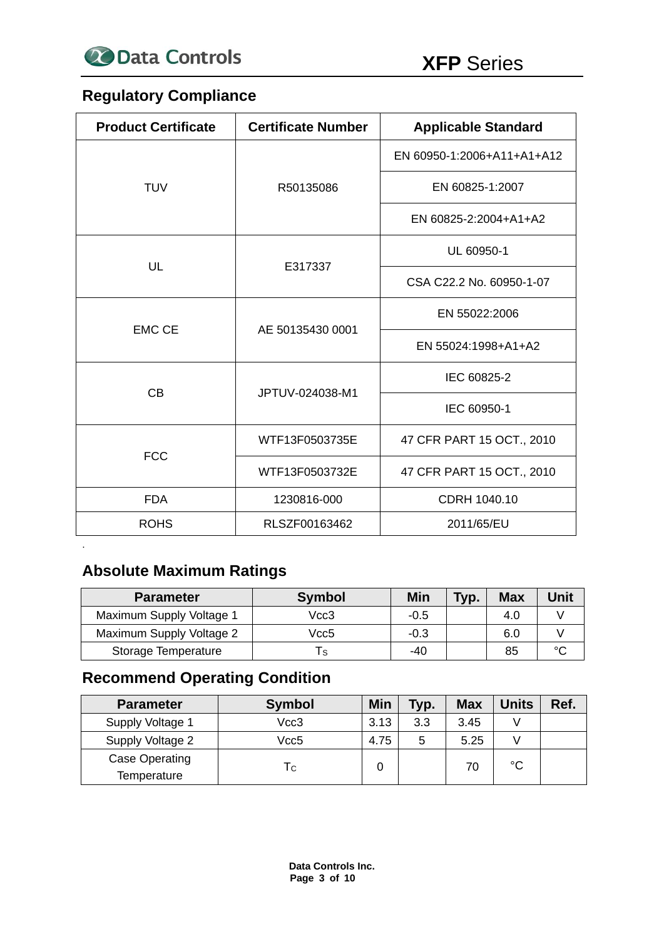

# **Regulatory Compliance**

| <b>Product Certificate</b> | <b>Certificate Number</b> | <b>Applicable Standard</b> |  |
|----------------------------|---------------------------|----------------------------|--|
|                            |                           | EN 60950-1:2006+A11+A1+A12 |  |
| <b>TUV</b>                 | R50135086                 | EN 60825-1:2007            |  |
|                            |                           | EN 60825-2:2004+A1+A2      |  |
| UL                         | E317337                   | UL 60950-1                 |  |
|                            |                           | CSA C22.2 No. 60950-1-07   |  |
| <b>EMC CE</b>              |                           | EN 55022:2006              |  |
|                            | AE 50135430 0001          | EN 55024:1998+A1+A2        |  |
| <b>CB</b>                  |                           | IEC 60825-2                |  |
|                            | JPTUV-024038-M1           | IEC 60950-1                |  |
| <b>FCC</b>                 | WTF13F0503735E            | 47 CFR PART 15 OCT., 2010  |  |
|                            | WTF13F0503732E            | 47 CFR PART 15 OCT., 2010  |  |
| <b>FDA</b><br>1230816-000  |                           | CDRH 1040.10               |  |
| <b>ROHS</b>                | RLSZF00163462             | 2011/65/EU                 |  |

# **Absolute Maximum Ratings**

.

| <b>Parameter</b>           | <b>Symbol</b> | Min    | Typ. | <b>Max</b> | Unit   |
|----------------------------|---------------|--------|------|------------|--------|
| Maximum Supply Voltage 1   | Vcc3          | $-0.5$ |      | 4.0        |        |
| Maximum Supply Voltage 2   | Vcc5          | $-0.3$ |      | 6.0        |        |
| <b>Storage Temperature</b> |               | $-40$  |      | 85         | $\sim$ |

# **Recommend Operating Condition**

| <b>Parameter</b>                     | <b>Symbol</b> | Min  | Typ. | <b>Max</b> | <b>Units</b> | Ref. |
|--------------------------------------|---------------|------|------|------------|--------------|------|
| Supply Voltage 1                     | Vcc3          | 3.13 | 3.3  | 3.45       |              |      |
| Supply Voltage 2                     | Vcc5          | 4.75 | 5    | 5.25       |              |      |
| <b>Case Operating</b><br>Temperature | Тc            | 0    |      | 70         | °C           |      |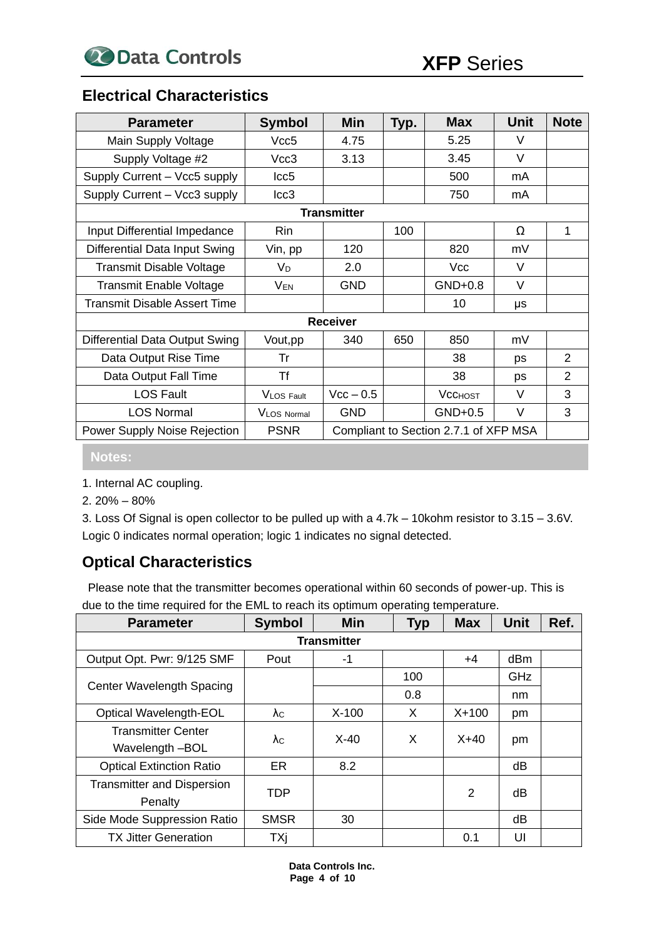### **Electrical Characteristics**

| <b>Parameter</b>                      | <b>Symbol</b>    | <b>Min</b>         | Typ. | <b>Max</b>                            | <b>Unit</b> | <b>Note</b>    |
|---------------------------------------|------------------|--------------------|------|---------------------------------------|-------------|----------------|
| Main Supply Voltage                   | Vcc <sub>5</sub> | 4.75               |      | 5.25                                  | $\vee$      |                |
| Supply Voltage #2                     | Vcc3             | 3.13               |      | 3.45                                  | $\vee$      |                |
| Supply Current - Vcc5 supply          | Icc <sub>5</sub> |                    |      | 500                                   | mA          |                |
| Supply Current - Vcc3 supply          | Icc <sub>3</sub> |                    |      | 750                                   | mA          |                |
|                                       |                  | <b>Transmitter</b> |      |                                       |             |                |
| Input Differential Impedance          | Rin              |                    | 100  |                                       | Ω           | 1              |
| Differential Data Input Swing         | Vin, pp          | 120                |      | 820                                   | mV          |                |
| <b>Transmit Disable Voltage</b>       | VD               | 2.0                |      | Vcc                                   | V           |                |
| <b>Transmit Enable Voltage</b>        | <b>VEN</b>       | <b>GND</b>         |      | $GND+0.8$                             | V           |                |
| Transmit Disable Assert Time          |                  |                    |      | 10                                    | μs          |                |
|                                       |                  | <b>Receiver</b>    |      |                                       |             |                |
| <b>Differential Data Output Swing</b> | Vout, pp         | 340                | 650  | 850                                   | mV          |                |
| Data Output Rise Time                 | Tr               |                    |      | 38                                    | ps          | 2              |
| Data Output Fall Time                 | Τf               |                    |      | 38                                    | ps          | $\overline{2}$ |
| <b>LOS Fault</b>                      | VLOS Fault       | $Vcc - 0.5$        |      | <b>VCCHOST</b>                        | V           | 3              |
| <b>LOS Normal</b>                     | VLOS Normal      | <b>GND</b>         |      | $GND+0.5$                             | V           | 3              |
| Power Supply Noise Rejection          | <b>PSNR</b>      |                    |      | Compliant to Section 2.7.1 of XFP MSA |             |                |

**Notes:**

- 1. Internal AC coupling.
- 2. 20% 80%

3. Loss Of Signal is open collector to be pulled up with a 4.7k – 10kohm resistor to 3.15 – 3.6V. Logic 0 indicates normal operation; logic 1 indicates no signal detected.

# **Optical Characteristics**

Please note that the transmitter becomes operational within 60 seconds of power-up. This is due to the time required for the EML to reach its optimum operating temperature.

| <b>Parameter</b>                  | <b>Symbol</b> | <b>Min</b>         | <b>Typ</b> | <b>Max</b>     | <b>Unit</b> | Ref. |
|-----------------------------------|---------------|--------------------|------------|----------------|-------------|------|
|                                   |               | <b>Transmitter</b> |            |                |             |      |
| Output Opt. Pwr: 9/125 SMF        | Pout          | -1                 |            | $+4$           | dBm         |      |
|                                   |               |                    | 100        |                | GHz         |      |
| Center Wavelength Spacing         |               |                    | 0.8        |                | nm          |      |
| Optical Wavelength-EOL            | $\lambda c$   | $X-100$            | X          | $X + 100$      | pm          |      |
| <b>Transmitter Center</b>         | λc            | $X-40$             | X          | $X+40$         |             |      |
| Wavelength -BOL                   |               |                    |            |                | pm          |      |
| <b>Optical Extinction Ratio</b>   | <b>ER</b>     | 8.2                |            |                | dB          |      |
| <b>Transmitter and Dispersion</b> | TDP           |                    |            | $\overline{2}$ | dB          |      |
| Penalty                           |               |                    |            |                |             |      |
| Side Mode Suppression Ratio       | <b>SMSR</b>   | 30                 |            |                | dB          |      |
| <b>TX Jitter Generation</b>       | TXj           |                    |            | 0.1            | UI          |      |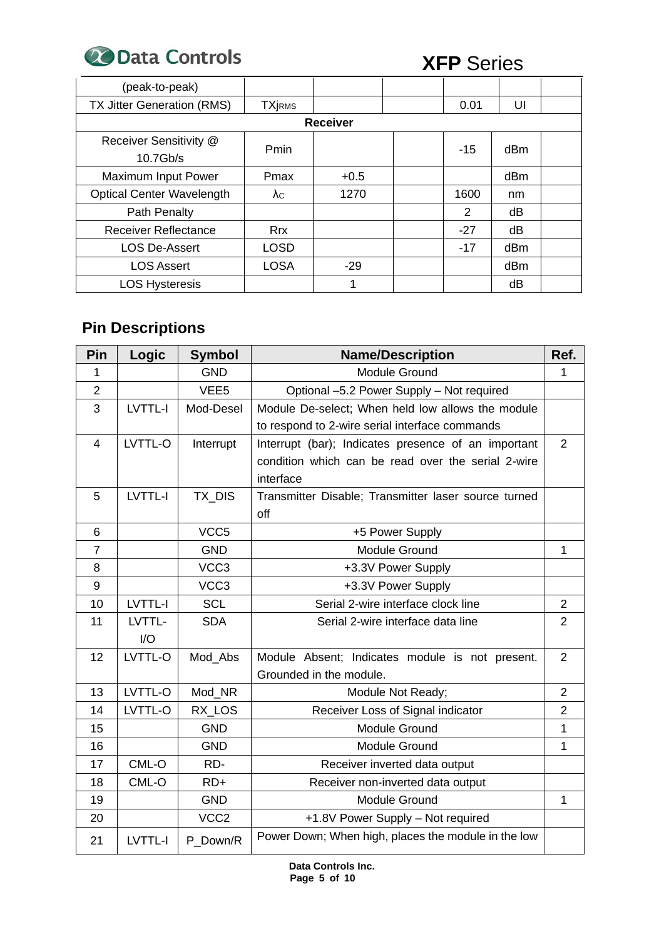**20 Data Controls** XFP Series

| (peak-to-peak)                     |               |                 |       |                 |  |
|------------------------------------|---------------|-----------------|-------|-----------------|--|
| TX Jitter Generation (RMS)         | <b>TXjRMS</b> |                 | 0.01  | UI              |  |
|                                    |               | <b>Receiver</b> |       |                 |  |
| Receiver Sensitivity @<br>10.7Gb/s | Pmin          |                 | $-15$ | dB <sub>m</sub> |  |
| <b>Maximum Input Power</b>         | Pmax          | $+0.5$          |       | dB <sub>m</sub> |  |
| <b>Optical Center Wavelength</b>   | $\lambda c$   | 1270            | 1600  | nm              |  |
| Path Penalty                       |               |                 | 2     | dB              |  |
| <b>Receiver Reflectance</b>        | <b>Rrx</b>    |                 | $-27$ | dB              |  |
| <b>LOS De-Assert</b>               | <b>LOSD</b>   |                 | $-17$ | dB <sub>m</sub> |  |
| <b>LOS Assert</b>                  | <b>LOSA</b>   | $-29$           |       | dB <sub>m</sub> |  |
| <b>LOS Hysteresis</b>              |               |                 |       | dB              |  |

# **Pin Descriptions**

| Pin            | Logic          | <b>Symbol</b>    | <b>Name/Description</b>                              |                |  |
|----------------|----------------|------------------|------------------------------------------------------|----------------|--|
| 1              |                | <b>GND</b>       | <b>Module Ground</b>                                 | 1              |  |
| $\overline{2}$ |                | VEE <sub>5</sub> | Optional -5.2 Power Supply - Not required            |                |  |
| 3              | LVTTL-I        | Mod-Desel        | Module De-select; When held low allows the module    |                |  |
|                |                |                  | to respond to 2-wire serial interface commands       |                |  |
| $\overline{4}$ | LVTTL-O        | Interrupt        | Interrupt (bar); Indicates presence of an important  | $\overline{2}$ |  |
|                |                |                  | condition which can be read over the serial 2-wire   |                |  |
|                |                |                  | interface                                            |                |  |
| 5              | LVTTL-I        | TX_DIS           | Transmitter Disable; Transmitter laser source turned |                |  |
|                |                |                  | off                                                  |                |  |
| 6              |                | VCC <sub>5</sub> | +5 Power Supply                                      |                |  |
| $\overline{7}$ |                | <b>GND</b>       | Module Ground                                        | $\mathbf{1}$   |  |
| 8              |                | VCC <sub>3</sub> | +3.3V Power Supply                                   |                |  |
| 9              |                | VCC3             | +3.3V Power Supply                                   |                |  |
| 10             | LVTTL-I        | <b>SCL</b>       | Serial 2-wire interface clock line                   | $\overline{2}$ |  |
| 11             | LVTTL-         | <b>SDA</b>       | Serial 2-wire interface data line                    | $\overline{2}$ |  |
|                | 1/O            |                  |                                                      |                |  |
| 12             | LVTTL-O        | Mod_Abs          | Module Absent; Indicates module is not present.      | $\overline{2}$ |  |
|                |                |                  | Grounded in the module.                              |                |  |
| 13             | LVTTL-O        | Mod_NR           | Module Not Ready;                                    | $\overline{2}$ |  |
| 14             | LVTTL-O        | RX LOS           | Receiver Loss of Signal indicator                    | $\overline{2}$ |  |
| 15             |                | <b>GND</b>       | Module Ground                                        | 1              |  |
| 16             |                | <b>GND</b>       | <b>Module Ground</b>                                 | 1              |  |
| 17             | CML-O          | RD-              | Receiver inverted data output                        |                |  |
| 18             | CML-O          | $RD+$            | Receiver non-inverted data output                    |                |  |
| 19             |                | <b>GND</b>       | Module Ground                                        | 1              |  |
| 20             |                | VCC <sub>2</sub> | +1.8V Power Supply - Not required                    |                |  |
| 21             | <b>LVTTL-I</b> | P Down/R         | Power Down; When high, places the module in the low  |                |  |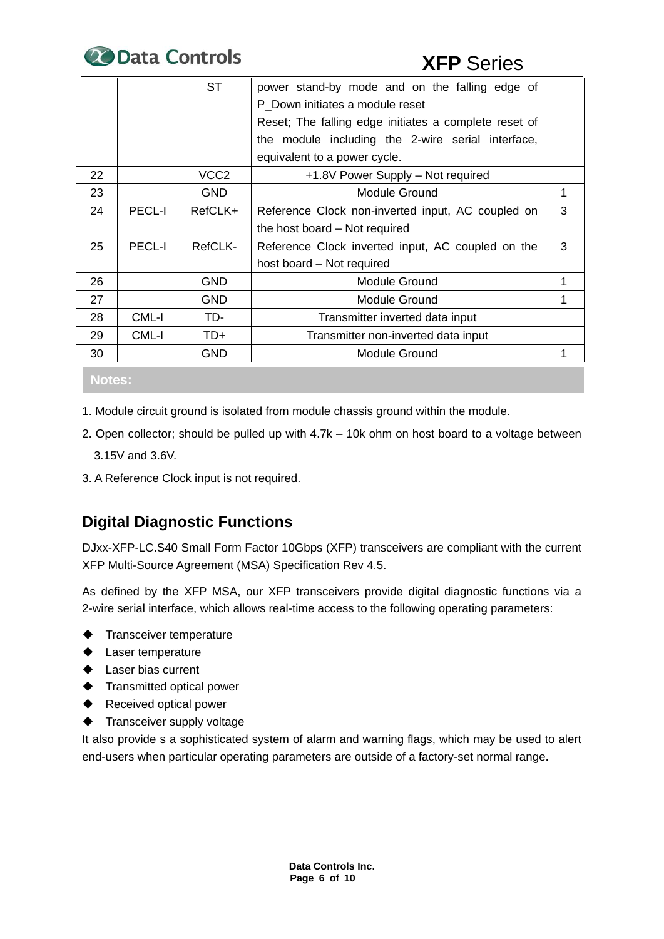

|    |               | ST               | power stand-by mode and on the falling edge of        |   |  |
|----|---------------|------------------|-------------------------------------------------------|---|--|
|    |               |                  | P Down initiates a module reset                       |   |  |
|    |               |                  | Reset; The falling edge initiates a complete reset of |   |  |
|    |               |                  | the module including the 2-wire serial interface,     |   |  |
|    |               |                  | equivalent to a power cycle.                          |   |  |
| 22 |               | VCC <sub>2</sub> | +1.8V Power Supply – Not required                     |   |  |
| 23 |               | <b>GND</b>       | <b>Module Ground</b>                                  |   |  |
| 24 | <b>PECL-I</b> | RefCLK+          | Reference Clock non-inverted input, AC coupled on     | 3 |  |
|    |               |                  | the host board – Not required                         |   |  |
| 25 | <b>PECL-I</b> | RefCLK-          | Reference Clock inverted input, AC coupled on the     | 3 |  |
|    |               |                  | host board – Not required                             |   |  |
| 26 |               | <b>GND</b>       | Module Ground                                         |   |  |
| 27 |               | <b>GND</b>       | Module Ground                                         |   |  |
| 28 | CML-I         | TD-              | Transmitter inverted data input                       |   |  |
| 29 | CML-I         | TD+              | Transmitter non-inverted data input                   |   |  |
| 30 |               | <b>GND</b>       | <b>Module Ground</b>                                  |   |  |

**Notes:**

- 1. Module circuit ground is isolated from module chassis ground within the module.
- 2. Open collector; should be pulled up with 4.7k 10k ohm on host board to a voltage between 3.15V and 3.6V.
- 3. A Reference Clock input is not required.

# **Digital Diagnostic Functions**

DJxx-XFP-LC.S40 Small Form Factor 10Gbps (XFP) transceivers are compliant with the current XFP Multi-Source Agreement (MSA) Specification Rev 4.5.

As defined by the XFP MSA, our XFP transceivers provide digital diagnostic functions via a 2-wire serial interface, which allows real-time access to the following operating parameters:

- ◆ Transceiver temperature
- ◆ Laser temperature
- ◆ Laser bias current
- ◆ Transmitted optical power
- ◆ Received optical power
- ◆ Transceiver supply voltage

It also provide s a sophisticated system of alarm and warning flags, which may be used to alert end-users when particular operating parameters are outside of a factory-set normal range.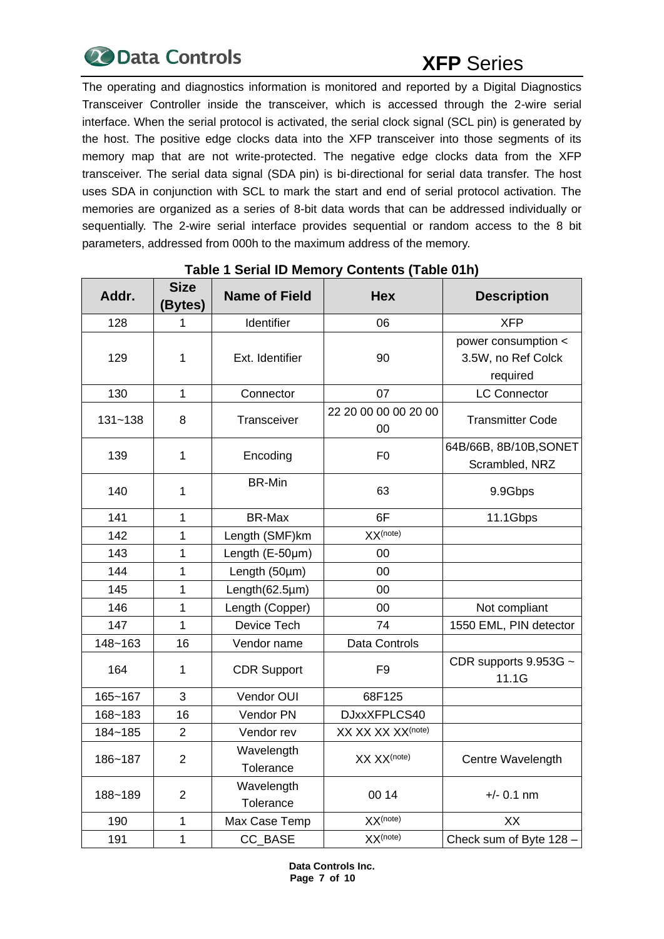

The operating and diagnostics information is monitored and reported by a Digital Diagnostics Transceiver Controller inside the transceiver, which is accessed through the 2-wire serial interface. When the serial protocol is activated, the serial clock signal (SCL pin) is generated by the host. The positive edge clocks data into the XFP transceiver into those segments of its memory map that are not write-protected. The negative edge clocks data from the XFP transceiver. The serial data signal (SDA pin) is bi-directional for serial data transfer. The host uses SDA in conjunction with SCL to mark the start and end of serial protocol activation. The memories are organized as a series of 8-bit data words that can be addressed individually or sequentially. The 2-wire serial interface provides sequential or random access to the 8 bit parameters, addressed from 000h to the maximum address of the memory.

| Addr.       | <b>Size</b><br>(Bytes) | <b>Name of Field</b> | <b>Hex</b>                    | <b>Description</b>                       |
|-------------|------------------------|----------------------|-------------------------------|------------------------------------------|
| 128         | 1                      | Identifier           | 06                            | <b>XFP</b>                               |
|             |                        |                      |                               | power consumption <                      |
| 129         | 1                      | Ext. Identifier      | 90                            | 3.5W, no Ref Colck                       |
|             |                        |                      |                               | required                                 |
| 130         | 1                      | Connector            | 07                            | <b>LC Connector</b>                      |
| $131 - 138$ | 8                      | Transceiver          | 22 20 00 00 00 20 00<br>00    | <b>Transmitter Code</b>                  |
| 139         | 1                      | Encoding             | F <sub>0</sub>                | 64B/66B, 8B/10B, SONET<br>Scrambled, NRZ |
| 140         | 1                      | <b>BR-Min</b>        | 63                            | 9.9Gbps                                  |
| 141         | 1                      | BR-Max               | 6F                            | 11.1Gbps                                 |
| 142         | 1                      | Length (SMF)km       | $XX$ (note)                   |                                          |
| 143         | 1                      | Length $(E-50\mu m)$ | 00                            |                                          |
| 144         | 1                      | Length (50µm)        | 00                            |                                          |
| 145         | 1                      | Length(62.5µm)       | 00                            |                                          |
| 146         | 1                      | Length (Copper)      | 00                            | Not compliant                            |
| 147         | 1                      | Device Tech          | 74                            | 1550 EML, PIN detector                   |
| 148~163     | 16                     | Vendor name          | Data Controls                 |                                          |
| 164         | 1                      | <b>CDR Support</b>   | F <sub>9</sub>                | CDR supports 9.953G ~<br>11.1G           |
| 165~167     | 3                      | Vendor OUI           | 68F125                        |                                          |
| 168~183     | 16                     | Vendor PN            | DJxxXFPLCS40                  |                                          |
| 184~185     | $\overline{2}$         | Vendor rev           | XX XX XX XX <sup>(note)</sup> |                                          |
| 186~187     | $\overline{2}$         | Wavelength           | XX XX <sup>(note)</sup>       | Centre Wavelength                        |
|             |                        | Tolerance            |                               |                                          |
| 188~189     | $\overline{2}$         | Wavelength           | 00 14                         | $+/- 0.1$ nm                             |
|             |                        | Tolerance            |                               |                                          |
| 190         | 1                      | Max Case Temp        | $XX$ (note)                   | XX                                       |
| 191         | 1                      | CC_BASE              | $XX$ (note)                   | Check sum of Byte 128 -                  |

### **Table 1 Serial ID Memory Contents (Table 01h)**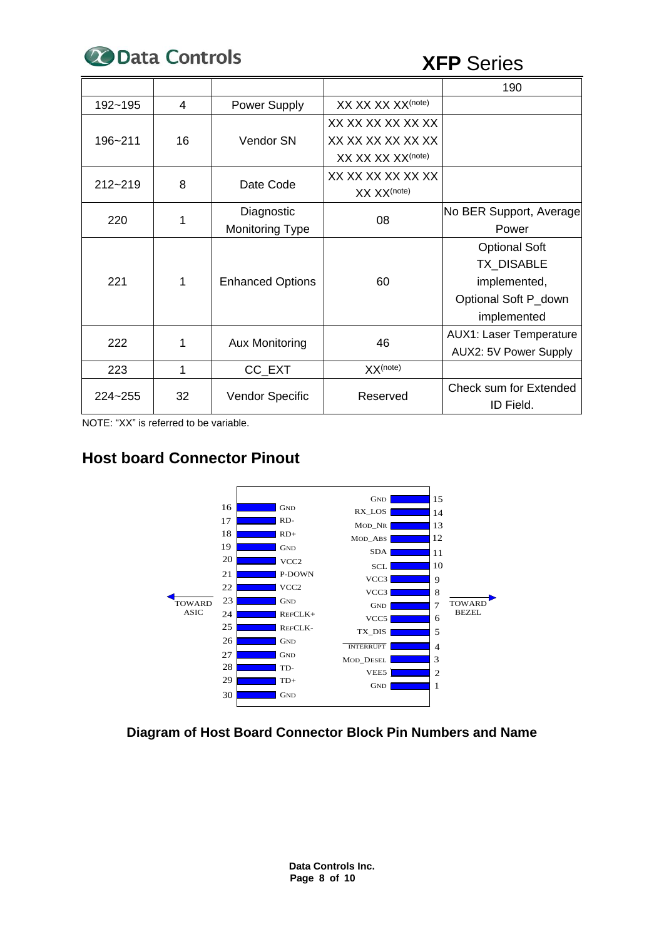

|         |    |                         |                               | 190                            |  |
|---------|----|-------------------------|-------------------------------|--------------------------------|--|
| 192~195 | 4  | Power Supply            | XX XX XX XX <sup>(note)</sup> |                                |  |
| 196~211 | 16 | Vendor SN               | XX XX XX XX XX XX             |                                |  |
|         |    |                         | XX XX XX XX XX XX             |                                |  |
|         |    |                         | XX XX XX XX <sup>(note)</sup> |                                |  |
| 212~219 | 8  | Date Code               | XX XX XX XX XX XX             |                                |  |
|         |    |                         | XX XX <sup>(note)</sup>       |                                |  |
| 220     | 1  | Diagnostic              | 08                            | No BER Support, Average        |  |
|         |    | <b>Monitoring Type</b>  |                               | Power                          |  |
| 221     | 1  | <b>Enhanced Options</b> |                               | <b>Optional Soft</b>           |  |
|         |    |                         |                               | TX_DISABLE                     |  |
|         |    |                         | 60                            | implemented,                   |  |
|         |    |                         |                               | Optional Soft P_down           |  |
|         |    |                         |                               | implemented                    |  |
| 222     | 1  | <b>Aux Monitoring</b>   | 46                            | <b>AUX1: Laser Temperature</b> |  |
|         |    |                         |                               | AUX2: 5V Power Supply          |  |
| 223     | 1  | CC_EXT                  | XX <sup>(note)</sup>          |                                |  |
| 224~255 | 32 | <b>Vendor Specific</b>  | Reserved                      | <b>Check sum for Extended</b>  |  |
|         |    |                         |                               | ID Field.                      |  |

NOTE: "XX" is referred to be variable.

## **Host board Connector Pinout**



**Diagram of Host Board Connector Block Pin Numbers and Name**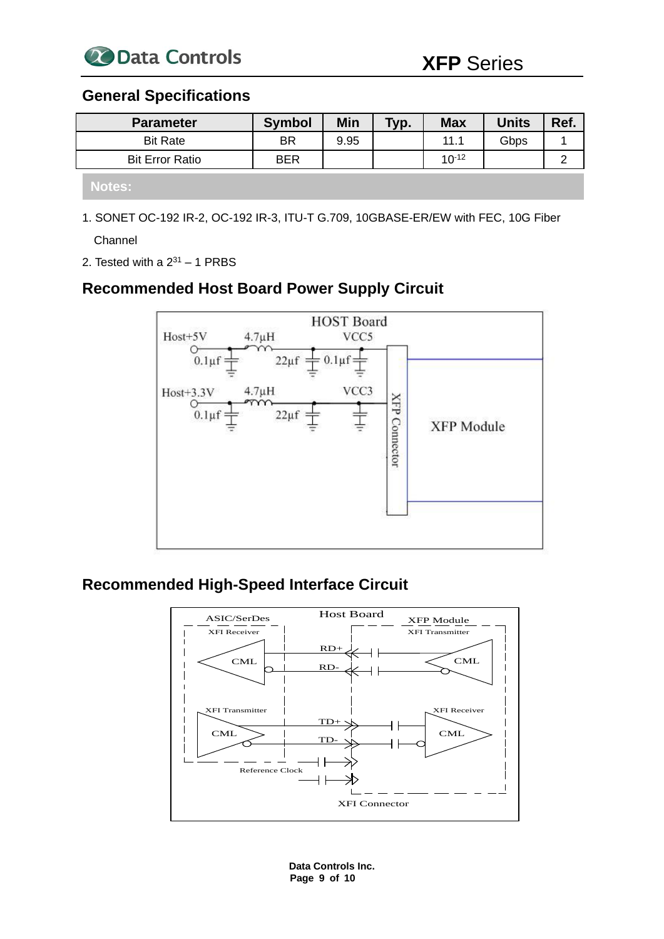

### **General Specifications**

| <b>Parameter</b>       | <b>Symbol</b> | Min  | Typ. | <b>Max</b> | <b>Units</b> | Ref. |
|------------------------|---------------|------|------|------------|--------------|------|
| <b>Bit Rate</b>        | BR            | 9.95 |      | 11.1       | Gbps         |      |
| <b>Bit Error Ratio</b> | <b>BER</b>    |      |      | $10^{-12}$ |              |      |
| Notes: <b>I</b>        |               |      |      |            |              |      |

1. SONET OC-192 IR-2, OC-192 IR-3, ITU-T G.709, 10GBASE-ER/EW with FEC, 10G Fiber Channel

2. Tested with a  $2^{31}$  – 1 PRBS

# **Recommended Host Board Power Supply Circuit**



# **Recommended High-Speed Interface Circuit**



**Data Controls Inc. Page 9 of 10**